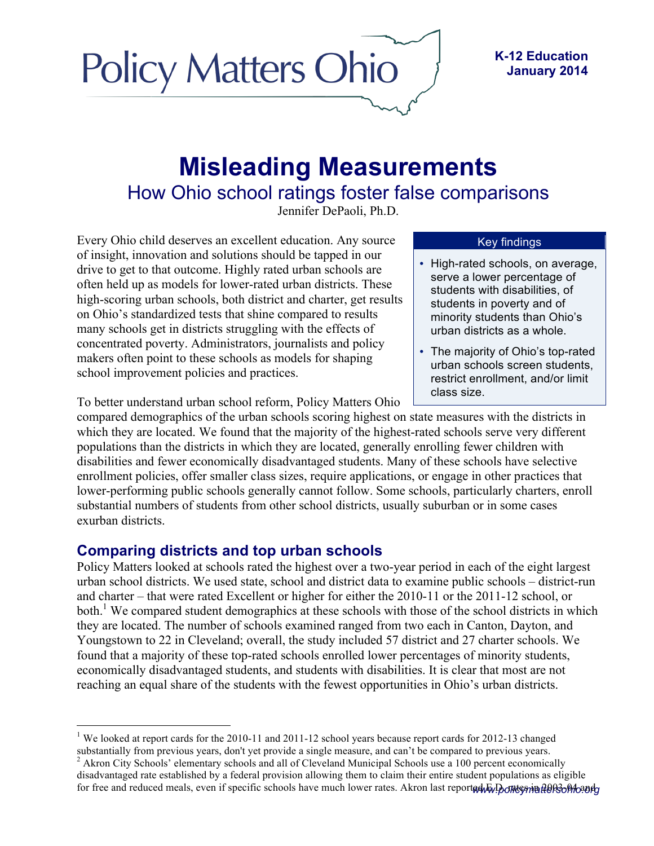

### **K-12 Education January 2014**

# **Misleading Measurements** How Ohio school ratings foster false comparisons

Jennifer DePaoli, Ph.D.

Every Ohio child deserves an excellent education. Any source of insight, innovation and solutions should be tapped in our drive to get to that outcome. Highly rated urban schools are often held up as models for lower-rated urban districts. These high-scoring urban schools, both district and charter, get results on Ohio's standardized tests that shine compared to results many schools get in districts struggling with the effects of concentrated poverty. Administrators, journalists and policy makers often point to these schools as models for shaping school improvement policies and practices.

To better understand urban school reform, Policy Matters Ohio

#### Key findings

- High-rated schools, on average, serve a lower percentage of students with disabilities, of students in poverty and of minority students than Ohio's urban districts as a whole.
- The majority of Ohio's top-rated urban schools screen students, restrict enrollment, and/or limit class size.

compared demographics of the urban schools scoring highest on state measures with the districts in which they are located. We found that the majority of the highest-rated schools serve very different populations than the districts in which they are located, generally enrolling fewer children with disabilities and fewer economically disadvantaged students. Many of these schools have selective enrollment policies, offer smaller class sizes, require applications, or engage in other practices that lower-performing public schools generally cannot follow. Some schools, particularly charters, enroll substantial numbers of students from other school districts, usually suburban or in some cases exurban districts.

## **Comparing districts and top urban schools**

Policy Matters looked at schools rated the highest over a two-year period in each of the eight largest urban school districts. We used state, school and district data to examine public schools – district-run and charter – that were rated Excellent or higher for either the 2010-11 or the 2011-12 school, or both.<sup>1</sup> We compared student demographics at these schools with those of the school districts in which they are located. The number of schools examined ranged from two each in Canton, Dayton, and Youngstown to 22 in Cleveland; overall, the study included 57 district and 27 charter schools. We found that a majority of these top-rated schools enrolled lower percentages of minority students, economically disadvantaged students, and students with disabilities. It is clear that most are not reaching an equal share of the students with the fewest opportunities in Ohio's urban districts.

 $3$  Akron City Schools' elementary schools and all of Cleveland Municipal Schools use a 100 percent economically

<sup>&</sup>lt;sup>1</sup> We looked at report cards for the 2010-11 and 2011-12 school years because report cards for 2012-13 changed substantially from previous years, don't yet provide a single measure, and can't be compared to previous years

for free and reduced meals, even if specific schools have much lower rates. Akron last reported E.D. rates and reduced meals, even if specific schools have much lower rates. Akron last reported E.D. rates and reduced meals disadvantaged rate established by a federal provision allowing them to claim their entire student populations as eligible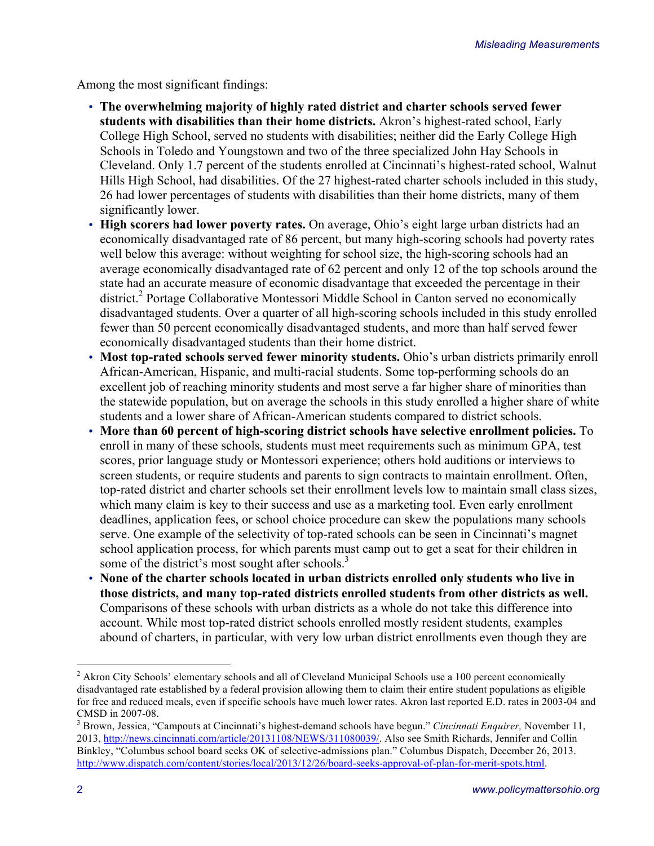Among the most significant findings:

- **The overwhelming majority of highly rated district and charter schools served fewer students with disabilities than their home districts.** Akron's highest-rated school, Early College High School, served no students with disabilities; neither did the Early College High Schools in Toledo and Youngstown and two of the three specialized John Hay Schools in Cleveland. Only 1.7 percent of the students enrolled at Cincinnati's highest-rated school, Walnut Hills High School, had disabilities. Of the 27 highest-rated charter schools included in this study, 26 had lower percentages of students with disabilities than their home districts, many of them significantly lower.
- **High scorers had lower poverty rates.** On average, Ohio's eight large urban districts had an economically disadvantaged rate of 86 percent, but many high-scoring schools had poverty rates well below this average: without weighting for school size, the high-scoring schools had an average economically disadvantaged rate of 62 percent and only 12 of the top schools around the state had an accurate measure of economic disadvantage that exceeded the percentage in their district. <sup>2</sup> Portage Collaborative Montessori Middle School in Canton served no economically disadvantaged students. Over a quarter of all high-scoring schools included in this study enrolled fewer than 50 percent economically disadvantaged students, and more than half served fewer economically disadvantaged students than their home district.
- **Most top-rated schools served fewer minority students.** Ohio's urban districts primarily enroll African-American, Hispanic, and multi-racial students. Some top-performing schools do an excellent job of reaching minority students and most serve a far higher share of minorities than the statewide population, but on average the schools in this study enrolled a higher share of white students and a lower share of African-American students compared to district schools.
- **More than 60 percent of high-scoring district schools have selective enrollment policies.** To enroll in many of these schools, students must meet requirements such as minimum GPA, test scores, prior language study or Montessori experience; others hold auditions or interviews to screen students, or require students and parents to sign contracts to maintain enrollment. Often, top-rated district and charter schools set their enrollment levels low to maintain small class sizes, which many claim is key to their success and use as a marketing tool. Even early enrollment deadlines, application fees, or school choice procedure can skew the populations many schools serve. One example of the selectivity of top-rated schools can be seen in Cincinnati's magnet school application process, for which parents must camp out to get a seat for their children in some of the district's most sought after schools.<sup>3</sup>
- **None of the charter schools located in urban districts enrolled only students who live in those districts, and many top-rated districts enrolled students from other districts as well.**  Comparisons of these schools with urban districts as a whole do not take this difference into account. While most top-rated district schools enrolled mostly resident students, examples abound of charters, in particular, with very low urban district enrollments even though they are

<sup>&</sup>lt;sup>2</sup> Akron City Schools' elementary schools and all of Cleveland Municipal Schools use a 100 percent economically disadvantaged rate established by a federal provision allowing them to claim their entire student populations as eligible for free and reduced meals, even if specific schools have much lower rates. Akron last reported E.D. rates in 2003-04 and CMSD in 2007-08. <sup>3</sup> Brown, Jessica, "Campouts at Cincinnati's highest-demand schools have begun." *Cincinnati Enquirer,* November 11,

<sup>2013,</sup> http://news.cincinnati.com/article/20131108/NEWS/311080039/. Also see Smith Richards, Jennifer and Collin Binkley, "Columbus school board seeks OK of selective-admissions plan." Columbus Dispatch, December 26, 2013. http://www.dispatch.com/content/stories/local/2013/12/26/board-seeks-approval-of-plan-for-merit-spots.html.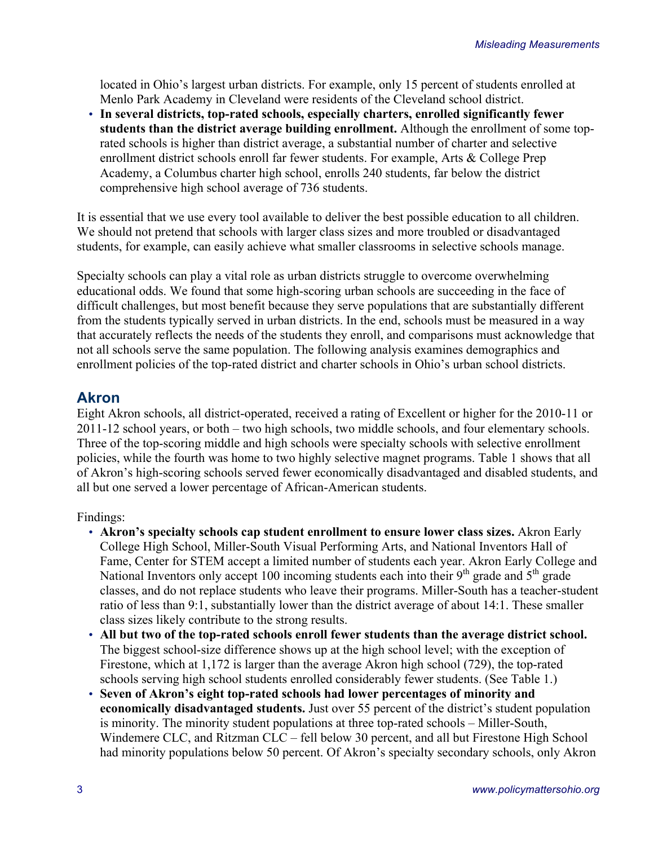located in Ohio's largest urban districts. For example, only 15 percent of students enrolled at Menlo Park Academy in Cleveland were residents of the Cleveland school district.

• **In several districts, top-rated schools, especially charters, enrolled significantly fewer students than the district average building enrollment.** Although the enrollment of some toprated schools is higher than district average, a substantial number of charter and selective enrollment district schools enroll far fewer students. For example, Arts & College Prep Academy, a Columbus charter high school, enrolls 240 students, far below the district comprehensive high school average of 736 students.

It is essential that we use every tool available to deliver the best possible education to all children. We should not pretend that schools with larger class sizes and more troubled or disadvantaged students, for example, can easily achieve what smaller classrooms in selective schools manage.

Specialty schools can play a vital role as urban districts struggle to overcome overwhelming educational odds. We found that some high-scoring urban schools are succeeding in the face of difficult challenges, but most benefit because they serve populations that are substantially different from the students typically served in urban districts. In the end, schools must be measured in a way that accurately reflects the needs of the students they enroll, and comparisons must acknowledge that not all schools serve the same population. The following analysis examines demographics and enrollment policies of the top-rated district and charter schools in Ohio's urban school districts.

## **Akron**

Eight Akron schools, all district-operated, received a rating of Excellent or higher for the 2010-11 or 2011-12 school years, or both – two high schools, two middle schools, and four elementary schools. Three of the top-scoring middle and high schools were specialty schools with selective enrollment policies, while the fourth was home to two highly selective magnet programs. Table 1 shows that all of Akron's high-scoring schools served fewer economically disadvantaged and disabled students, and all but one served a lower percentage of African-American students.

#### Findings:

- **Akron's specialty schools cap student enrollment to ensure lower class sizes.** Akron Early College High School, Miller-South Visual Performing Arts, and National Inventors Hall of Fame, Center for STEM accept a limited number of students each year. Akron Early College and National Inventors only accept 100 incoming students each into their  $9<sup>th</sup>$  grade and  $5<sup>th</sup>$  grade classes, and do not replace students who leave their programs. Miller-South has a teacher-student ratio of less than 9:1, substantially lower than the district average of about 14:1. These smaller class sizes likely contribute to the strong results.
- **All but two of the top-rated schools enroll fewer students than the average district school.**  The biggest school-size difference shows up at the high school level; with the exception of Firestone, which at 1,172 is larger than the average Akron high school (729), the top-rated schools serving high school students enrolled considerably fewer students. (See Table 1.)
- **Seven of Akron's eight top-rated schools had lower percentages of minority and economically disadvantaged students.** Just over 55 percent of the district's student population is minority. The minority student populations at three top-rated schools – Miller-South, Windemere CLC, and Ritzman CLC – fell below 30 percent, and all but Firestone High School had minority populations below 50 percent. Of Akron's specialty secondary schools, only Akron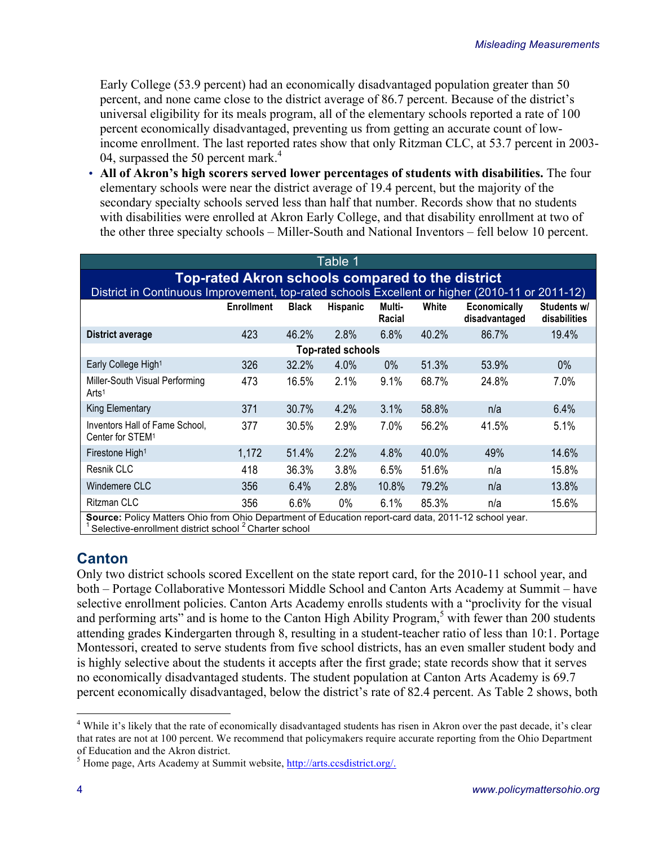Early College (53.9 percent) had an economically disadvantaged population greater than 50 percent, and none came close to the district average of 86.7 percent. Because of the district's universal eligibility for its meals program, all of the elementary schools reported a rate of 100 percent economically disadvantaged, preventing us from getting an accurate count of lowincome enrollment. The last reported rates show that only Ritzman CLC, at 53.7 percent in 2003- 04, surpassed the 50 percent mark.<sup>4</sup>

• **All of Akron's high scorers served lower percentages of students with disabilities.** The four elementary schools were near the district average of 19.4 percent, but the majority of the secondary specialty schools served less than half that number. Records show that no students with disabilities were enrolled at Akron Early College, and that disability enrollment at two of the other three specialty schools – Miller-South and National Inventors – fell below 10 percent.

| Table 1                                                                                                                                                                  |                          |              |          |                  |       |                                      |                             |  |  |  |  |
|--------------------------------------------------------------------------------------------------------------------------------------------------------------------------|--------------------------|--------------|----------|------------------|-------|--------------------------------------|-----------------------------|--|--|--|--|
| <b>Top-rated Akron schools compared to the district</b>                                                                                                                  |                          |              |          |                  |       |                                      |                             |  |  |  |  |
| District in Continuous Improvement, top-rated schools Excellent or higher (2010-11 or 2011-12)                                                                           |                          |              |          |                  |       |                                      |                             |  |  |  |  |
|                                                                                                                                                                          | <b>Enrollment</b>        | <b>Black</b> | Hispanic | Multi-<br>Racial | White | <b>Economically</b><br>disadvantaged | Students w/<br>disabilities |  |  |  |  |
| District average                                                                                                                                                         | 423                      | 46.2%        | 2.8%     | 6.8%             | 40.2% | 86.7%                                | 19.4%                       |  |  |  |  |
|                                                                                                                                                                          | <b>Top-rated schools</b> |              |          |                  |       |                                      |                             |  |  |  |  |
| Early College High <sup>1</sup>                                                                                                                                          | 326                      | 32.2%        | 4.0%     | $0\%$            | 51.3% | 53.9%                                | $0\%$                       |  |  |  |  |
| Miller-South Visual Performing<br>Arts <sup>1</sup>                                                                                                                      | 473                      | 16.5%        | 2.1%     | 9.1%             | 68.7% | 24.8%                                | 7.0%                        |  |  |  |  |
| <b>King Elementary</b>                                                                                                                                                   | 371                      | 30.7%        | 4.2%     | 3.1%             | 58.8% | n/a                                  | 6.4%                        |  |  |  |  |
| Inventors Hall of Fame School,<br>Center for STEM <sup>1</sup>                                                                                                           | 377                      | 30.5%        | 2.9%     | 7.0%             | 56.2% | 41.5%                                | 5.1%                        |  |  |  |  |
| Firestone High <sup>1</sup>                                                                                                                                              | 1,172                    | 51.4%        | 2.2%     | 4.8%             | 40.0% | 49%                                  | 14.6%                       |  |  |  |  |
| Resnik CLC                                                                                                                                                               | 418                      | 36.3%        | 3.8%     | 6.5%             | 51.6% | n/a                                  | 15.8%                       |  |  |  |  |
| Windemere CLC                                                                                                                                                            | 356                      | 6.4%         | 2.8%     | 10.8%            | 79.2% | n/a                                  | 13.8%                       |  |  |  |  |
| <b>Ritzman CLC</b>                                                                                                                                                       | 356                      | 6.6%         | $0\%$    | 6.1%             | 85.3% | n/a                                  | 15.6%                       |  |  |  |  |
| Source: Policy Matters Ohio from Ohio Department of Education report-card data, 2011-12 school year.<br>Selective-enrollment district school <sup>2</sup> Charter school |                          |              |          |                  |       |                                      |                             |  |  |  |  |

## **Canton**

Only two district schools scored Excellent on the state report card, for the 2010-11 school year, and both – Portage Collaborative Montessori Middle School and Canton Arts Academy at Summit – have selective enrollment policies. Canton Arts Academy enrolls students with a "proclivity for the visual and performing arts" and is home to the Canton High Ability Program, $5$  with fewer than 200 students attending grades Kindergarten through 8, resulting in a student-teacher ratio of less than 10:1. Portage Montessori, created to serve students from five school districts, has an even smaller student body and is highly selective about the students it accepts after the first grade; state records show that it serves no economically disadvantaged students. The student population at Canton Arts Academy is 69.7 percent economically disadvantaged, below the district's rate of 82.4 percent. As Table 2 shows, both

<sup>&</sup>lt;sup>4</sup> While it's likely that the rate of economically disadvantaged students has risen in Akron over the past decade, it's clear that rates are not at 100 percent. We recommend that policymakers require accurate reporting from the Ohio Department of Education and the Akron district.

 $<sup>5</sup>$  Home page, Arts Academy at Summit website, http://arts.ccsdistrict.org/.</sup>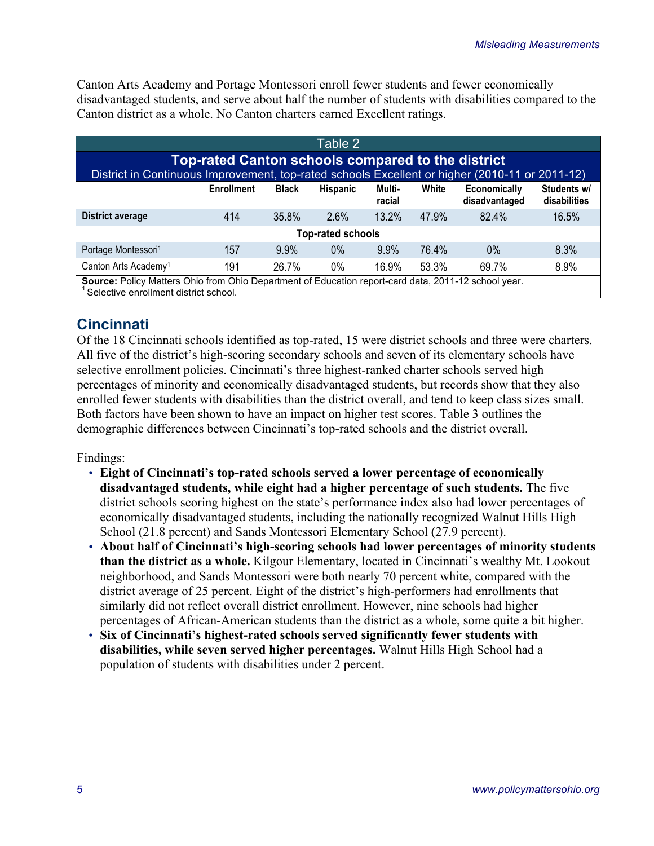Canton Arts Academy and Portage Montessori enroll fewer students and fewer economically disadvantaged students, and serve about half the number of students with disabilities compared to the Canton district as a whole. No Canton charters earned Excellent ratings.

| Table 2                                                                                                                                             |                          |         |       |          |       |       |       |  |  |  |
|-----------------------------------------------------------------------------------------------------------------------------------------------------|--------------------------|---------|-------|----------|-------|-------|-------|--|--|--|
| Top-rated Canton schools compared to the district<br>District in Continuous Improvement, top-rated schools Excellent or higher (2010-11 or 2011-12) |                          |         |       |          |       |       |       |  |  |  |
| Students w/<br>White<br>Economically<br><b>Enrollment</b><br><b>Black</b><br><b>Hispanic</b><br>Multi-<br>racial<br>disadvantaged<br>disabilities   |                          |         |       |          |       |       |       |  |  |  |
| <b>District average</b>                                                                                                                             | 414                      | 35.8%   | 2.6%  | $13.2\%$ | 47.9% | 82.4% | 16.5% |  |  |  |
|                                                                                                                                                     | <b>Top-rated schools</b> |         |       |          |       |       |       |  |  |  |
| Portage Montessori <sup>1</sup>                                                                                                                     | 157                      | $9.9\%$ | $0\%$ | $9.9\%$  | 76.4% | $0\%$ | 8.3%  |  |  |  |
| Canton Arts Academy <sup>1</sup>                                                                                                                    | 191                      | 26.7%   | 0%    | 16.9%    | 53.3% | 69.7% | 8.9%  |  |  |  |
| Source: Policy Matters Ohio from Ohio Department of Education report-card data, 2011-12 school year.<br>Selective enrollment district school.       |                          |         |       |          |       |       |       |  |  |  |

# **Cincinnati**

Of the 18 Cincinnati schools identified as top-rated, 15 were district schools and three were charters. All five of the district's high-scoring secondary schools and seven of its elementary schools have selective enrollment policies. Cincinnati's three highest-ranked charter schools served high percentages of minority and economically disadvantaged students, but records show that they also enrolled fewer students with disabilities than the district overall, and tend to keep class sizes small. Both factors have been shown to have an impact on higher test scores. Table 3 outlines the demographic differences between Cincinnati's top-rated schools and the district overall.

Findings:

- **Eight of Cincinnati's top-rated schools served a lower percentage of economically disadvantaged students, while eight had a higher percentage of such students.** The five district schools scoring highest on the state's performance index also had lower percentages of economically disadvantaged students, including the nationally recognized Walnut Hills High School (21.8 percent) and Sands Montessori Elementary School (27.9 percent).
- **About half of Cincinnati's high-scoring schools had lower percentages of minority students than the district as a whole.** Kilgour Elementary, located in Cincinnati's wealthy Mt. Lookout neighborhood, and Sands Montessori were both nearly 70 percent white, compared with the district average of 25 percent. Eight of the district's high-performers had enrollments that similarly did not reflect overall district enrollment. However, nine schools had higher percentages of African-American students than the district as a whole, some quite a bit higher.
- **Six of Cincinnati's highest-rated schools served significantly fewer students with disabilities, while seven served higher percentages.** Walnut Hills High School had a population of students with disabilities under 2 percent.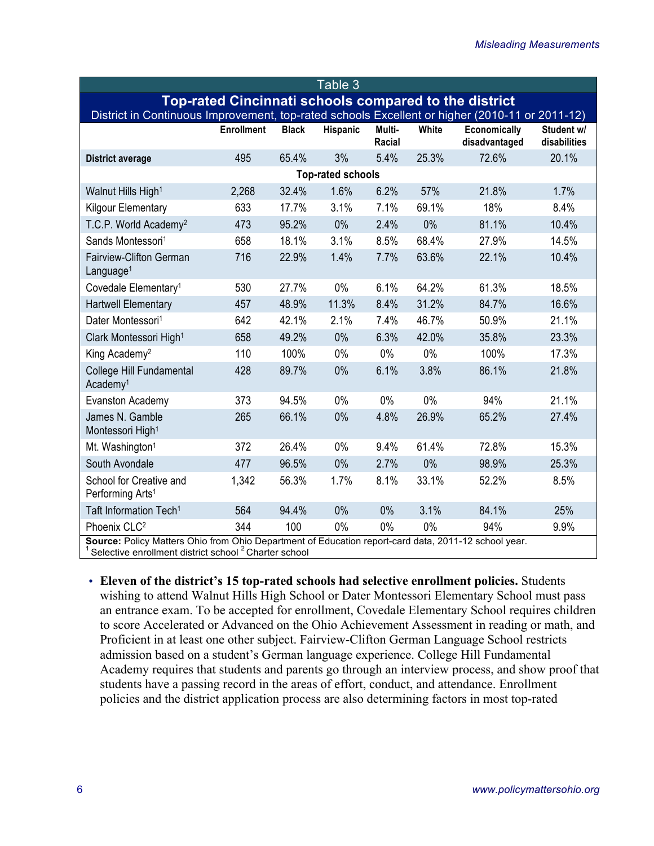| Table 3                                                                                              |                   |              |                 |                  |       |                                      |                            |  |  |  |
|------------------------------------------------------------------------------------------------------|-------------------|--------------|-----------------|------------------|-------|--------------------------------------|----------------------------|--|--|--|
| <b>Top-rated Cincinnati schools compared to the district</b>                                         |                   |              |                 |                  |       |                                      |                            |  |  |  |
| District in Continuous Improvement, top-rated schools Excellent or higher (2010-11 or 2011-12)       |                   |              |                 |                  |       |                                      |                            |  |  |  |
|                                                                                                      | <b>Enrollment</b> | <b>Black</b> | <b>Hispanic</b> | Multi-<br>Racial | White | <b>Economically</b><br>disadvantaged | Student w/<br>disabilities |  |  |  |
| <b>District average</b>                                                                              | 495               | 65.4%        | 3%              | 5.4%             | 25.3% | 72.6%                                | 20.1%                      |  |  |  |
| <b>Top-rated schools</b>                                                                             |                   |              |                 |                  |       |                                      |                            |  |  |  |
| Walnut Hills High <sup>1</sup>                                                                       | 2,268             | 32.4%        | 1.6%            | 6.2%             | 57%   | 21.8%                                | 1.7%                       |  |  |  |
| Kilgour Elementary                                                                                   | 633               | 17.7%        | 3.1%            | 7.1%             | 69.1% | 18%                                  | 8.4%                       |  |  |  |
| T.C.P. World Academy <sup>2</sup>                                                                    | 473               | 95.2%        | 0%              | 2.4%             | 0%    | 81.1%                                | 10.4%                      |  |  |  |
| Sands Montessori <sup>1</sup>                                                                        | 658               | 18.1%        | 3.1%            | 8.5%             | 68.4% | 27.9%                                | 14.5%                      |  |  |  |
| Fairview-Clifton German<br>Language <sup>1</sup>                                                     | 716               | 22.9%        | 1.4%            | 7.7%             | 63.6% | 22.1%                                | 10.4%                      |  |  |  |
| Covedale Elementary <sup>1</sup>                                                                     | 530               | 27.7%        | 0%              | 6.1%             | 64.2% | 61.3%                                | 18.5%                      |  |  |  |
| <b>Hartwell Elementary</b>                                                                           | 457               | 48.9%        | 11.3%           | 8.4%             | 31.2% | 84.7%                                | 16.6%                      |  |  |  |
| Dater Montessori <sup>1</sup>                                                                        | 642               | 42.1%        | 2.1%            | 7.4%             | 46.7% | 50.9%                                | 21.1%                      |  |  |  |
| Clark Montessori High <sup>1</sup>                                                                   | 658               | 49.2%        | 0%              | 6.3%             | 42.0% | 35.8%                                | 23.3%                      |  |  |  |
| King Academy <sup>2</sup>                                                                            | 110               | 100%         | 0%              | $0\%$            | 0%    | 100%                                 | 17.3%                      |  |  |  |
| College Hill Fundamental<br>Academy <sup>1</sup>                                                     | 428               | 89.7%        | 0%              | 6.1%             | 3.8%  | 86.1%                                | 21.8%                      |  |  |  |
| Evanston Academy                                                                                     | 373               | 94.5%        | 0%              | $0\%$            | 0%    | 94%                                  | 21.1%                      |  |  |  |
| James N. Gamble<br>Montessori High <sup>1</sup>                                                      | 265               | 66.1%        | 0%              | 4.8%             | 26.9% | 65.2%                                | 27.4%                      |  |  |  |
| Mt. Washington <sup>1</sup>                                                                          | 372               | 26.4%        | 0%              | 9.4%             | 61.4% | 72.8%                                | 15.3%                      |  |  |  |
| South Avondale                                                                                       | 477               | 96.5%        | 0%              | 2.7%             | 0%    | 98.9%                                | 25.3%                      |  |  |  |
| School for Creative and<br>Performing Arts <sup>1</sup>                                              | 1,342             | 56.3%        | 1.7%            | 8.1%             | 33.1% | 52.2%                                | 8.5%                       |  |  |  |
| Taft Information Tech <sup>1</sup>                                                                   | 564               | 94.4%        | 0%              | 0%               | 3.1%  | 84.1%                                | 25%                        |  |  |  |
| Phoenix CLC <sup>2</sup>                                                                             | 344               | 100          | 0%              | 0%               | 0%    | 94%                                  | 9.9%                       |  |  |  |
| Source: Policy Matters Ohio from Ohio Department of Education report-card data, 2011-12 school year. |                   |              |                 |                  |       |                                      |                            |  |  |  |

<sup>1</sup> Selective enrollment district school <sup>2</sup> Charter school

• **Eleven of the district's 15 top-rated schools had selective enrollment policies.** Students wishing to attend Walnut Hills High School or Dater Montessori Elementary School must pass an entrance exam. To be accepted for enrollment, Covedale Elementary School requires children to score Accelerated or Advanced on the Ohio Achievement Assessment in reading or math, and Proficient in at least one other subject. Fairview-Clifton German Language School restricts admission based on a student's German language experience. College Hill Fundamental Academy requires that students and parents go through an interview process, and show proof that students have a passing record in the areas of effort, conduct, and attendance. Enrollment policies and the district application process are also determining factors in most top-rated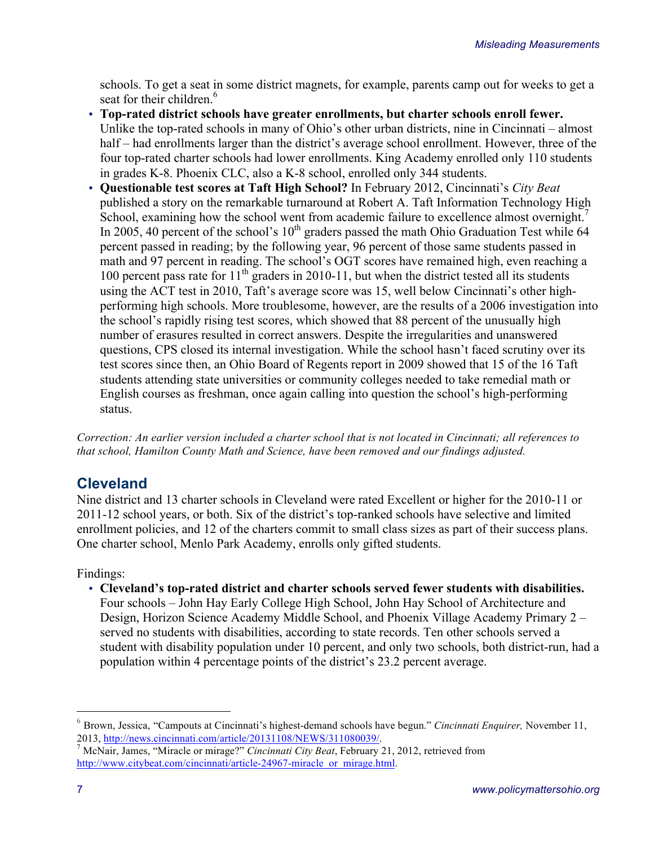schools. To get a seat in some district magnets, for example, parents camp out for weeks to get a seat for their children.<sup>6</sup>

- **Top-rated district schools have greater enrollments, but charter schools enroll fewer.** Unlike the top-rated schools in many of Ohio's other urban districts, nine in Cincinnati – almost half – had enrollments larger than the district's average school enrollment. However, three of the four top-rated charter schools had lower enrollments. King Academy enrolled only 110 students in grades K-8. Phoenix CLC, also a K-8 school, enrolled only 344 students.
- **Questionable test scores at Taft High School?** In February 2012, Cincinnati's *City Beat*  published a story on the remarkable turnaround at Robert A. Taft Information Technology High School, examining how the school went from academic failure to excellence almost overnight.<sup>7</sup> In 2005, 40 percent of the school's 10<sup>th</sup> graders passed the math Ohio Graduation Test while 64 percent passed in reading; by the following year, 96 percent of those same students passed in math and 97 percent in reading. The school's OGT scores have remained high, even reaching a 100 percent pass rate for  $11<sup>th</sup>$  graders in 2010-11, but when the district tested all its students using the ACT test in 2010, Taft's average score was 15, well below Cincinnati's other highperforming high schools. More troublesome, however, are the results of a 2006 investigation into the school's rapidly rising test scores, which showed that 88 percent of the unusually high number of erasures resulted in correct answers. Despite the irregularities and unanswered questions, CPS closed its internal investigation. While the school hasn't faced scrutiny over its test scores since then, an Ohio Board of Regents report in 2009 showed that 15 of the 16 Taft students attending state universities or community colleges needed to take remedial math or English courses as freshman, once again calling into question the school's high-performing status.

*Correction: An earlier version included a charter school that is not located in Cincinnati; all references to that school, Hamilton County Math and Science, have been removed and our findings adjusted.*

## **Cleveland**

Nine district and 13 charter schools in Cleveland were rated Excellent or higher for the 2010-11 or 2011-12 school years, or both. Six of the district's top-ranked schools have selective and limited enrollment policies, and 12 of the charters commit to small class sizes as part of their success plans. One charter school, Menlo Park Academy, enrolls only gifted students.

Findings:

• **Cleveland's top-rated district and charter schools served fewer students with disabilities.**  Four schools – John Hay Early College High School, John Hay School of Architecture and Design, Horizon Science Academy Middle School, and Phoenix Village Academy Primary 2 – served no students with disabilities, according to state records. Ten other schools served a student with disability population under 10 percent, and only two schools, both district-run, had a population within 4 percentage points of the district's 23.2 percent average.

 <sup>6</sup> Brown, Jessica, "Campouts at Cincinnati's highest-demand schools have begun." *Cincinnati Enquirer,* November 11, 2013, http://news.cincinnati.com/article/20131108/NEWS/311080039/. <sup>7</sup> McNair, James, "Miracle or mirage?" *Cincinnati City Beat*, February 21, 2012, retrieved from

http://www.citybeat.com/cincinnati/article-24967-miracle\_or\_mirage.html.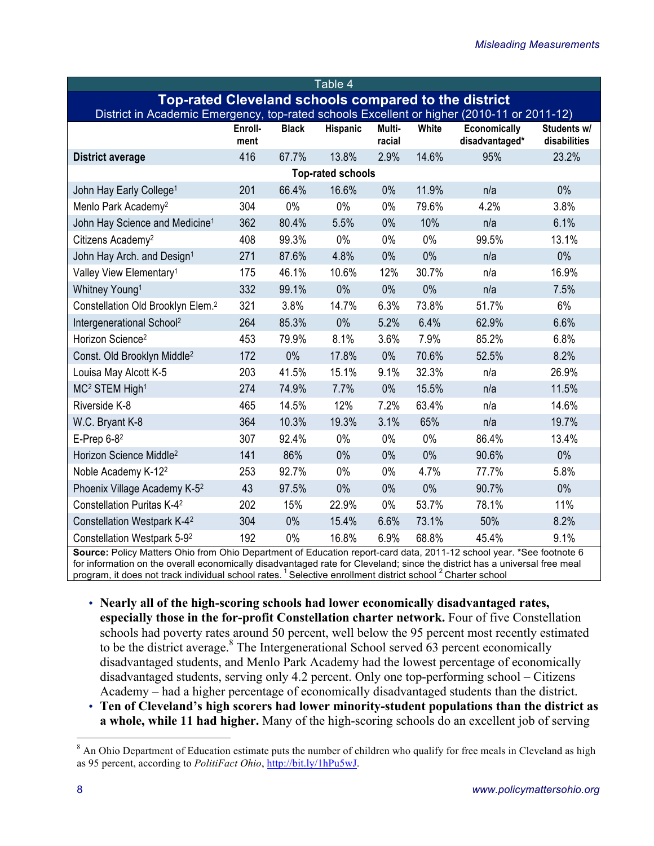| Table 4                                                                                    |                 |              |          |                  |       |                                |                             |  |  |  |  |
|--------------------------------------------------------------------------------------------|-----------------|--------------|----------|------------------|-------|--------------------------------|-----------------------------|--|--|--|--|
| <b>Top-rated Cleveland schools compared to the district</b>                                |                 |              |          |                  |       |                                |                             |  |  |  |  |
| District in Academic Emergency, top-rated schools Excellent or higher (2010-11 or 2011-12) |                 |              |          |                  |       |                                |                             |  |  |  |  |
|                                                                                            | Enroll-<br>ment | <b>Black</b> | Hispanic | Multi-<br>racial | White | Economically<br>disadvantaged* | Students w/<br>disabilities |  |  |  |  |
| <b>District average</b>                                                                    | 416             | 67.7%        | 13.8%    | 2.9%             | 14.6% | 95%                            | 23.2%                       |  |  |  |  |
| <b>Top-rated schools</b>                                                                   |                 |              |          |                  |       |                                |                             |  |  |  |  |
| John Hay Early College <sup>1</sup>                                                        | 201             | 66.4%        | 16.6%    | 0%               | 11.9% | n/a                            | $0\%$                       |  |  |  |  |
| Menlo Park Academy <sup>2</sup>                                                            | 304             | 0%           | 0%       | 0%               | 79.6% | 4.2%                           | 3.8%                        |  |  |  |  |
| John Hay Science and Medicine <sup>1</sup>                                                 | 362             | 80.4%        | 5.5%     | 0%               | 10%   | n/a                            | 6.1%                        |  |  |  |  |
| Citizens Academy <sup>2</sup>                                                              | 408             | 99.3%        | 0%       | $0\%$            | 0%    | 99.5%                          | 13.1%                       |  |  |  |  |
| John Hay Arch. and Design <sup>1</sup>                                                     | 271             | 87.6%        | 4.8%     | $0\%$            | $0\%$ | n/a                            | $0\%$                       |  |  |  |  |
| Valley View Elementary <sup>1</sup>                                                        | 175             | 46.1%        | 10.6%    | 12%              | 30.7% | n/a                            | 16.9%                       |  |  |  |  |
| Whitney Young <sup>1</sup>                                                                 | 332             | 99.1%        | $0\%$    | $0\%$            | $0\%$ | n/a                            | 7.5%                        |  |  |  |  |
| Constellation Old Brooklyn Elem. <sup>2</sup>                                              | 321             | 3.8%         | 14.7%    | 6.3%             | 73.8% | 51.7%                          | 6%                          |  |  |  |  |
| Intergenerational School <sup>2</sup>                                                      | 264             | 85.3%        | 0%       | 5.2%             | 6.4%  | 62.9%                          | 6.6%                        |  |  |  |  |
| Horizon Science <sup>2</sup>                                                               | 453             | 79.9%        | 8.1%     | 3.6%             | 7.9%  | 85.2%                          | 6.8%                        |  |  |  |  |
| Const. Old Brooklyn Middle <sup>2</sup>                                                    | 172             | 0%           | 17.8%    | 0%               | 70.6% | 52.5%                          | 8.2%                        |  |  |  |  |
| Louisa May Alcott K-5                                                                      | 203             | 41.5%        | 15.1%    | 9.1%             | 32.3% | n/a                            | 26.9%                       |  |  |  |  |
| MC <sup>2</sup> STEM High <sup>1</sup>                                                     | 274             | 74.9%        | 7.7%     | 0%               | 15.5% | n/a                            | 11.5%                       |  |  |  |  |
| Riverside K-8                                                                              | 465             | 14.5%        | 12%      | 7.2%             | 63.4% | n/a                            | 14.6%                       |  |  |  |  |
| W.C. Bryant K-8                                                                            | 364             | 10.3%        | 19.3%    | 3.1%             | 65%   | n/a                            | 19.7%                       |  |  |  |  |
| E-Prep $6-8^2$                                                                             | 307             | 92.4%        | 0%       | $0\%$            | 0%    | 86.4%                          | 13.4%                       |  |  |  |  |
| Horizon Science Middle <sup>2</sup>                                                        | 141             | 86%          | 0%       | 0%               | 0%    | 90.6%                          | $0\%$                       |  |  |  |  |
| Noble Academy K-12 <sup>2</sup>                                                            | 253             | 92.7%        | 0%       | $0\%$            | 4.7%  | 77.7%                          | 5.8%                        |  |  |  |  |
| Phoenix Village Academy K-5 <sup>2</sup>                                                   | 43              | 97.5%        | 0%       | $0\%$            | 0%    | 90.7%                          | 0%                          |  |  |  |  |
| Constellation Puritas K-4 <sup>2</sup>                                                     | 202             | 15%          | 22.9%    | $0\%$            | 53.7% | 78.1%                          | 11%                         |  |  |  |  |
| Constellation Westpark K-4 <sup>2</sup>                                                    | 304             | 0%           | 15.4%    | 6.6%             | 73.1% | 50%                            | 8.2%                        |  |  |  |  |
| Constellation Westpark 5-92                                                                | 192             | $0\%$        | 16.8%    | 6.9%             | 68.8% | 45.4%                          | 9.1%                        |  |  |  |  |

**Source:** Policy Matters Ohio from Ohio Department of Education report-card data, 2011-12 school year. \*See footnote 6 for information on the overall economically disadvantaged rate for Cleveland; since the district has a universal free meal program, it does not track individual school rates.<sup>1</sup> Selective enrollment district school<sup>2</sup> Charter school

- **Nearly all of the high-scoring schools had lower economically disadvantaged rates, especially those in the for-profit Constellation charter network.** Four of five Constellation schools had poverty rates around 50 percent, well below the 95 percent most recently estimated to be the district average. $8$  The Intergenerational School served 63 percent economically disadvantaged students, and Menlo Park Academy had the lowest percentage of economically disadvantaged students, serving only 4.2 percent. Only one top-performing school – Citizens Academy – had a higher percentage of economically disadvantaged students than the district.
- **Ten of Cleveland's high scorers had lower minority-student populations than the district as a whole, while 11 had higher.** Many of the high-scoring schools do an excellent job of serving

<sup>&</sup>lt;sup>8</sup> An Ohio Department of Education estimate puts the number of children who qualify for free meals in Cleveland as high as 95 percent, according to *PolitiFact Ohio*, http://bit.ly/1hPu5wJ.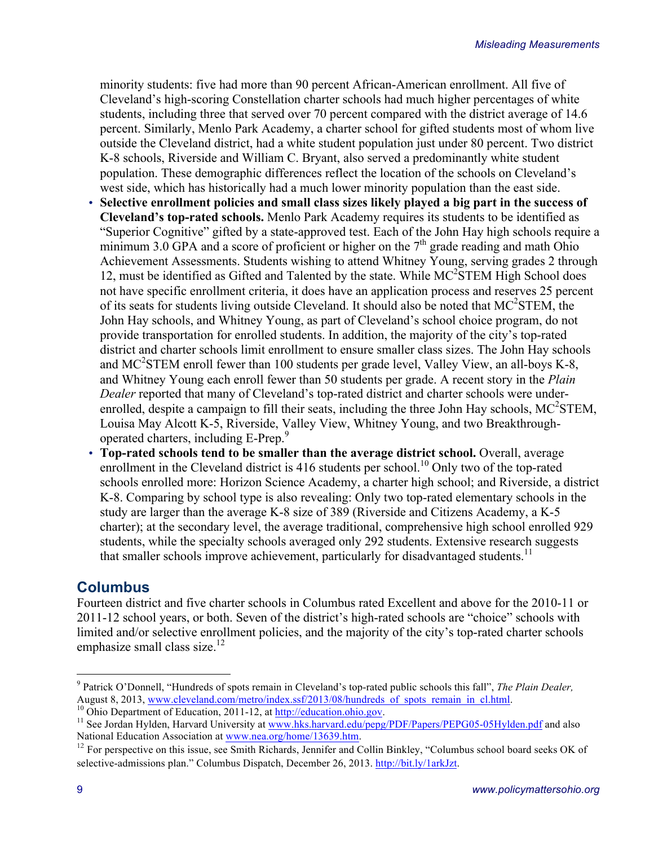minority students: five had more than 90 percent African-American enrollment. All five of Cleveland's high-scoring Constellation charter schools had much higher percentages of white students, including three that served over 70 percent compared with the district average of 14.6 percent. Similarly, Menlo Park Academy, a charter school for gifted students most of whom live outside the Cleveland district, had a white student population just under 80 percent. Two district K-8 schools, Riverside and William C. Bryant, also served a predominantly white student population. These demographic differences reflect the location of the schools on Cleveland's west side, which has historically had a much lower minority population than the east side.

- **Selective enrollment policies and small class sizes likely played a big part in the success of Cleveland's top-rated schools.** Menlo Park Academy requires its students to be identified as "Superior Cognitive" gifted by a state-approved test. Each of the John Hay high schools require a minimum 3.0 GPA and a score of proficient or higher on the  $7<sup>th</sup>$  grade reading and math Ohio Achievement Assessments. Students wishing to attend Whitney Young, serving grades 2 through 12, must be identified as Gifted and Talented by the state. While MC<sup>2</sup>STEM High School does not have specific enrollment criteria, it does have an application process and reserves 25 percent of its seats for students living outside Cleveland. It should also be noted that  $MC$ <sup>2</sup>STEM, the John Hay schools, and Whitney Young, as part of Cleveland's school choice program, do not provide transportation for enrolled students. In addition, the majority of the city's top-rated district and charter schools limit enrollment to ensure smaller class sizes. The John Hay schools and MC<sup>2</sup>STEM enroll fewer than 100 students per grade level, Valley View, an all-boys K-8, and Whitney Young each enroll fewer than 50 students per grade. A recent story in the *Plain Dealer* reported that many of Cleveland's top-rated district and charter schools were underenrolled, despite a campaign to fill their seats, including the three John Hay schools,  $MC^2STEM$ , Louisa May Alcott K-5, Riverside, Valley View, Whitney Young, and two Breakthroughoperated charters, including E-Prep.<sup>9</sup>
- **Top-rated schools tend to be smaller than the average district school.** Overall, average enrollment in the Cleveland district is 416 students per school.<sup>10</sup> Only two of the top-rated schools enrolled more: Horizon Science Academy, a charter high school; and Riverside, a district K-8. Comparing by school type is also revealing: Only two top-rated elementary schools in the study are larger than the average K-8 size of 389 (Riverside and Citizens Academy, a K-5 charter); at the secondary level, the average traditional, comprehensive high school enrolled 929 students, while the specialty schools averaged only 292 students. Extensive research suggests that smaller schools improve achievement, particularly for disadvantaged students.<sup>11</sup>

## **Columbus**

Fourteen district and five charter schools in Columbus rated Excellent and above for the 2010-11 or 2011-12 school years, or both. Seven of the district's high-rated schools are "choice" schools with limited and/or selective enrollment policies, and the majority of the city's top-rated charter schools emphasize small class size.<sup>12</sup>

<sup>9</sup> Patrick O'Donnell, "Hundreds of spots remain in Cleveland's top-rated public schools this fall", *The Plain Dealer,* 

<sup>&</sup>lt;sup>10</sup> Ohio Department of Education, 2011-12, at http://education.ohio.gov.<br><sup>11</sup> See Jordan Hylden, Harvard University at www.hks.harvard.edu/pepg/PDF/Papers/PEPG05-05Hylden.pdf and also National Education Association at www.nea.org/home/13639.htm.

 $12$  For perspective on this issue, see Smith Richards, Jennifer and Collin Binkley, "Columbus school board seeks OK of selective-admissions plan." Columbus Dispatch, December 26, 2013. http://bit.ly/1arkJzt.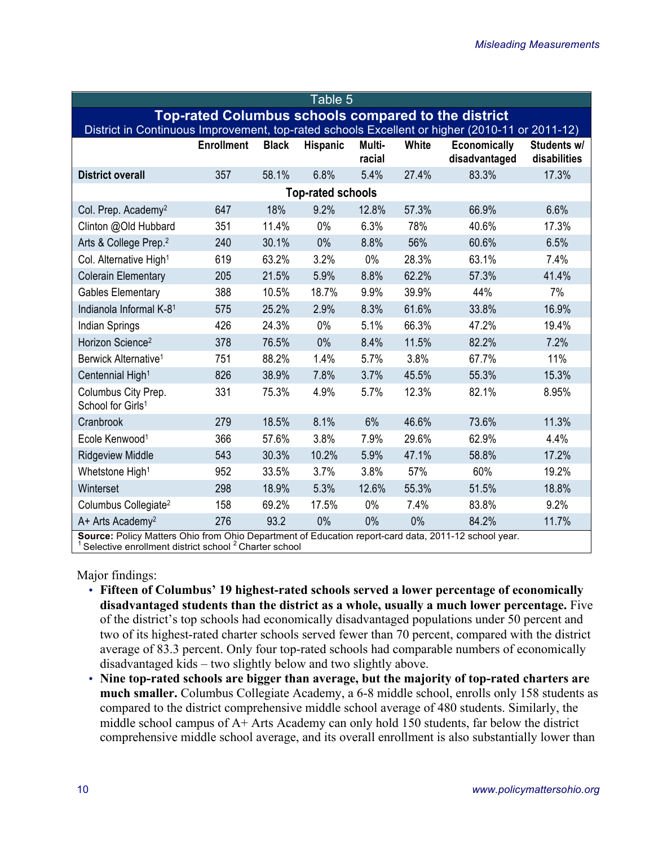| Table 5                                                                                                                                                                  |                   |              |          |                  |       |                                      |                             |  |  |  |  |
|--------------------------------------------------------------------------------------------------------------------------------------------------------------------------|-------------------|--------------|----------|------------------|-------|--------------------------------------|-----------------------------|--|--|--|--|
| <b>Top-rated Columbus schools compared to the district</b>                                                                                                               |                   |              |          |                  |       |                                      |                             |  |  |  |  |
| District in Continuous Improvement, top-rated schools Excellent or higher (2010-11 or 2011-12)                                                                           |                   |              |          |                  |       |                                      |                             |  |  |  |  |
|                                                                                                                                                                          | <b>Enrollment</b> | <b>Black</b> | Hispanic | Multi-<br>racial | White | <b>Economically</b><br>disadvantaged | Students w/<br>disabilities |  |  |  |  |
| <b>District overall</b>                                                                                                                                                  | 357               | 58.1%        | 6.8%     | 5.4%             | 27.4% | 83.3%                                | 17.3%                       |  |  |  |  |
| <b>Top-rated schools</b>                                                                                                                                                 |                   |              |          |                  |       |                                      |                             |  |  |  |  |
| Col. Prep. Academy <sup>2</sup>                                                                                                                                          | 647               | 18%          | 9.2%     | 12.8%            | 57.3% | 66.9%                                | 6.6%                        |  |  |  |  |
| Clinton @Old Hubbard                                                                                                                                                     | 351               | 11.4%        | 0%       | 6.3%             | 78%   | 40.6%                                | 17.3%                       |  |  |  |  |
| Arts & College Prep. <sup>2</sup>                                                                                                                                        | 240               | 30.1%        | 0%       | 8.8%             | 56%   | 60.6%                                | 6.5%                        |  |  |  |  |
| Col. Alternative High <sup>1</sup>                                                                                                                                       | 619               | 63.2%        | 3.2%     | $0\%$            | 28.3% | 63.1%                                | 7.4%                        |  |  |  |  |
| <b>Colerain Elementary</b>                                                                                                                                               | 205               | 21.5%        | 5.9%     | 8.8%             | 62.2% | 57.3%                                | 41.4%                       |  |  |  |  |
| <b>Gables Elementary</b>                                                                                                                                                 | 388               | 10.5%        | 18.7%    | 9.9%             | 39.9% | 44%                                  | 7%                          |  |  |  |  |
| Indianola Informal K-81                                                                                                                                                  | 575               | 25.2%        | 2.9%     | 8.3%             | 61.6% | 33.8%                                | 16.9%                       |  |  |  |  |
| Indian Springs                                                                                                                                                           | 426               | 24.3%        | $0\%$    | 5.1%             | 66.3% | 47.2%                                | 19.4%                       |  |  |  |  |
| Horizon Science <sup>2</sup>                                                                                                                                             | 378               | 76.5%        | 0%       | 8.4%             | 11.5% | 82.2%                                | 7.2%                        |  |  |  |  |
| Berwick Alternative <sup>1</sup>                                                                                                                                         | 751               | 88.2%        | 1.4%     | 5.7%             | 3.8%  | 67.7%                                | 11%                         |  |  |  |  |
| Centennial High <sup>1</sup>                                                                                                                                             | 826               | 38.9%        | 7.8%     | 3.7%             | 45.5% | 55.3%                                | 15.3%                       |  |  |  |  |
| Columbus City Prep.<br>School for Girls <sup>1</sup>                                                                                                                     | 331               | 75.3%        | 4.9%     | 5.7%             | 12.3% | 82.1%                                | 8.95%                       |  |  |  |  |
| Cranbrook                                                                                                                                                                | 279               | 18.5%        | 8.1%     | 6%               | 46.6% | 73.6%                                | 11.3%                       |  |  |  |  |
| Ecole Kenwood <sup>1</sup>                                                                                                                                               | 366               | 57.6%        | 3.8%     | 7.9%             | 29.6% | 62.9%                                | 4.4%                        |  |  |  |  |
| <b>Ridgeview Middle</b>                                                                                                                                                  | 543               | 30.3%        | 10.2%    | 5.9%             | 47.1% | 58.8%                                | 17.2%                       |  |  |  |  |
| Whetstone High <sup>1</sup>                                                                                                                                              | 952               | 33.5%        | 3.7%     | 3.8%             | 57%   | 60%                                  | 19.2%                       |  |  |  |  |
| Winterset                                                                                                                                                                | 298               | 18.9%        | 5.3%     | 12.6%            | 55.3% | 51.5%                                | 18.8%                       |  |  |  |  |
| Columbus Collegiate <sup>2</sup>                                                                                                                                         | 158               | 69.2%        | 17.5%    | $0\%$            | 7.4%  | 83.8%                                | 9.2%                        |  |  |  |  |
| A+ Arts Academy <sup>2</sup>                                                                                                                                             | 276               | 93.2         | 0%       | 0%               | 0%    | 84.2%                                | 11.7%                       |  |  |  |  |
| Source: Policy Matters Ohio from Ohio Department of Education report-card data, 2011-12 school year.<br>Selective enrollment district school <sup>2</sup> Charter school |                   |              |          |                  |       |                                      |                             |  |  |  |  |

Major findings:

- **Fifteen of Columbus' 19 highest-rated schools served a lower percentage of economically disadvantaged students than the district as a whole, usually a much lower percentage.** Five of the district's top schools had economically disadvantaged populations under 50 percent and two of its highest-rated charter schools served fewer than 70 percent, compared with the district average of 83.3 percent. Only four top-rated schools had comparable numbers of economically disadvantaged kids – two slightly below and two slightly above.
- **Nine top-rated schools are bigger than average, but the majority of top-rated charters are much smaller.** Columbus Collegiate Academy, a 6-8 middle school, enrolls only 158 students as compared to the district comprehensive middle school average of 480 students. Similarly, the middle school campus of A+ Arts Academy can only hold 150 students, far below the district comprehensive middle school average, and its overall enrollment is also substantially lower than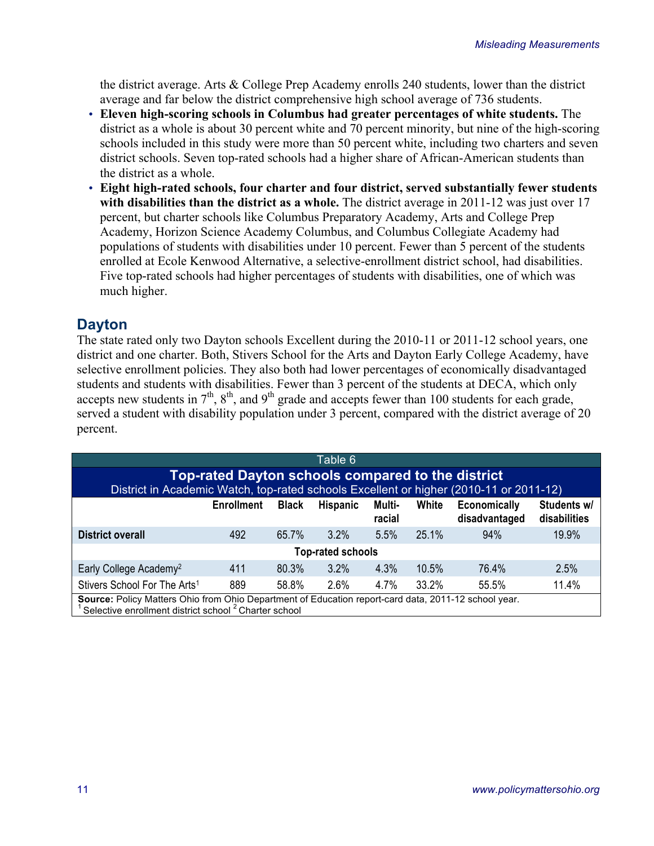the district average. Arts & College Prep Academy enrolls 240 students, lower than the district average and far below the district comprehensive high school average of 736 students.

- **Eleven high-scoring schools in Columbus had greater percentages of white students.** The district as a whole is about 30 percent white and 70 percent minority, but nine of the high-scoring schools included in this study were more than 50 percent white, including two charters and seven district schools. Seven top-rated schools had a higher share of African-American students than the district as a whole.
- **Eight high-rated schools, four charter and four district, served substantially fewer students with disabilities than the district as a whole.** The district average in 2011-12 was just over 17 percent, but charter schools like Columbus Preparatory Academy, Arts and College Prep Academy, Horizon Science Academy Columbus, and Columbus Collegiate Academy had populations of students with disabilities under 10 percent. Fewer than 5 percent of the students enrolled at Ecole Kenwood Alternative, a selective-enrollment district school, had disabilities. Five top-rated schools had higher percentages of students with disabilities, one of which was much higher.

## **Dayton**

The state rated only two Dayton schools Excellent during the 2010-11 or 2011-12 school years, one district and one charter. Both, Stivers School for the Arts and Dayton Early College Academy, have selective enrollment policies. They also both had lower percentages of economically disadvantaged students and students with disabilities. Fewer than 3 percent of the students at DECA, which only accepts new students in  $7<sup>th</sup>$ ,  $8<sup>th</sup>$ , and  $9<sup>th</sup>$  grade and accepts fewer than 100 students for each grade, served a student with disability population under 3 percent, compared with the district average of 20 percent.

| Table 6                                                                                                                                                                  |     |       |         |      |       |       |       |  |  |  |
|--------------------------------------------------------------------------------------------------------------------------------------------------------------------------|-----|-------|---------|------|-------|-------|-------|--|--|--|
| Top-rated Dayton schools compared to the district                                                                                                                        |     |       |         |      |       |       |       |  |  |  |
| District in Academic Watch, top-rated schools Excellent or higher (2010-11 or 2011-12)                                                                                   |     |       |         |      |       |       |       |  |  |  |
| Students w/<br>White<br><b>Economically</b><br><b>Enrollment</b><br><b>Black</b><br><b>Hispanic</b><br>Multi-<br>disabilities<br>disadvantaged<br>racial                 |     |       |         |      |       |       |       |  |  |  |
| District overall                                                                                                                                                         | 492 | 65.7% | $3.2\%$ | 5.5% | 25.1% | 94%   | 19.9% |  |  |  |
| <b>Top-rated schools</b>                                                                                                                                                 |     |       |         |      |       |       |       |  |  |  |
| Early College Academy <sup>2</sup>                                                                                                                                       | 411 | 80.3% | $3.2\%$ | 4.3% | 10.5% | 76.4% | 2.5%  |  |  |  |
| Stivers School For The Arts <sup>1</sup>                                                                                                                                 | 889 | 58.8% | 2.6%    | 4.7% | 33.2% | 55.5% | 11.4% |  |  |  |
| Source: Policy Matters Ohio from Ohio Department of Education report-card data, 2011-12 school year.<br>Selective enrollment district school <sup>2</sup> Charter school |     |       |         |      |       |       |       |  |  |  |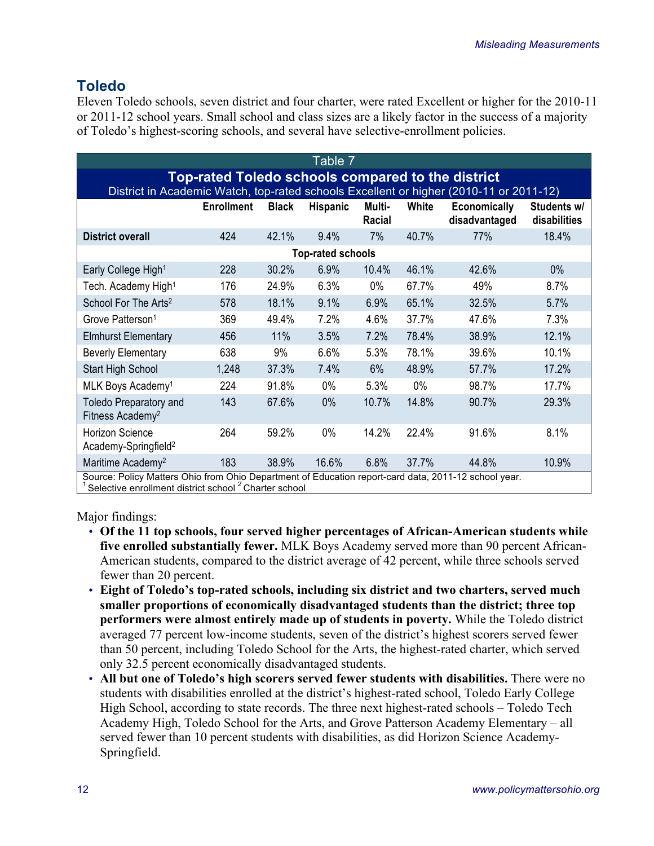## **Toledo**

Eleven Toledo schools, seven district and four charter, were rated Excellent or higher for the 2010-11 or 2011-12 school years. Small school and class sizes are a likely factor in the success of a majority of Toledo's highest-scoring schools, and several have selective-enrollment policies.

| Table 7                                                                                                                                     |                   |              |                 |                  |       |                                      |                             |  |  |
|---------------------------------------------------------------------------------------------------------------------------------------------|-------------------|--------------|-----------------|------------------|-------|--------------------------------------|-----------------------------|--|--|
| Top-rated Toledo schools compared to the district<br>District in Academic Watch, top-rated schools Excellent or higher (2010-11 or 2011-12) |                   |              |                 |                  |       |                                      |                             |  |  |
|                                                                                                                                             | <b>Enrollment</b> | <b>Black</b> | <b>Hispanic</b> | Multi-<br>Racial | White | <b>Economically</b><br>disadvantaged | Students w/<br>disabilities |  |  |
| <b>District overall</b>                                                                                                                     | 424               | 42.1%        | 9.4%            | 7%               | 40.7% | 77%                                  | 18.4%                       |  |  |
| <b>Top-rated schools</b>                                                                                                                    |                   |              |                 |                  |       |                                      |                             |  |  |
| Early College High <sup>1</sup>                                                                                                             | 228               | 30.2%        | 6.9%            | 10.4%            | 46.1% | 42.6%                                | 0%                          |  |  |
| Tech. Academy High <sup>1</sup>                                                                                                             | 176               | 24.9%        | 6.3%            | $0\%$            | 67.7% | 49%                                  | 8.7%                        |  |  |
| School For The Arts <sup>2</sup>                                                                                                            | 578               | 18.1%        | 9.1%            | 6.9%             | 65.1% | 32.5%                                | 5.7%                        |  |  |
| Grove Patterson <sup>1</sup>                                                                                                                | 369               | 49.4%        | 7.2%            | 4.6%             | 37.7% | 47.6%                                | 7.3%                        |  |  |
| <b>Elmhurst Elementary</b>                                                                                                                  | 456               | 11%          | 3.5%            | 7.2%             | 78.4% | 38.9%                                | 12.1%                       |  |  |
| <b>Beverly Elementary</b>                                                                                                                   | 638               | 9%           | 6.6%            | 5.3%             | 78.1% | 39.6%                                | 10.1%                       |  |  |
| Start High School                                                                                                                           | 1,248             | 37.3%        | 7.4%            | 6%               | 48.9% | 57.7%                                | 17.2%                       |  |  |
| MLK Boys Academy <sup>1</sup>                                                                                                               | 224               | 91.8%        | $0\%$           | 5.3%             | $0\%$ | 98.7%                                | 17.7%                       |  |  |
| <b>Toledo Preparatory and</b><br>Fitness Academy <sup>2</sup>                                                                               | 143               | 67.6%        | 0%              | 10.7%            | 14.8% | 90.7%                                | 29.3%                       |  |  |
| Horizon Science<br>Academy-Springfield <sup>2</sup>                                                                                         | 264               | 59.2%        | $0\%$           | 14.2%            | 22.4% | 91.6%                                | 8.1%                        |  |  |
| Maritime Academy <sup>2</sup><br>Course: Delieu Metters Obje from Obje Department of Education report eard data. 2011 12 esbed veer         | 183               | 38.9%        | 16.6%           | 6.8%             | 37.7% | 44.8%                                | 10.9%                       |  |  |

Source: Policy Matters Ohio from Ohio Department of Education report-card data, 2011-12 school year.<br><sup>1</sup> Selective enrollment district school <sup>2</sup> Charter school

Major findings:

- **Of the 11 top schools, four served higher percentages of African-American students while five enrolled substantially fewer.** MLK Boys Academy served more than 90 percent African-American students, compared to the district average of 42 percent, while three schools served fewer than 20 percent.
- **Eight of Toledo's top-rated schools, including six district and two charters, served much smaller proportions of economically disadvantaged students than the district; three top performers were almost entirely made up of students in poverty.** While the Toledo district averaged 77 percent low-income students, seven of the district's highest scorers served fewer than 50 percent, including Toledo School for the Arts, the highest-rated charter, which served only 32.5 percent economically disadvantaged students.
- **All but one of Toledo's high scorers served fewer students with disabilities.** There were no students with disabilities enrolled at the district's highest-rated school, Toledo Early College High School, according to state records. The three next highest-rated schools – Toledo Tech Academy High, Toledo School for the Arts, and Grove Patterson Academy Elementary – all served fewer than 10 percent students with disabilities, as did Horizon Science Academy-Springfield.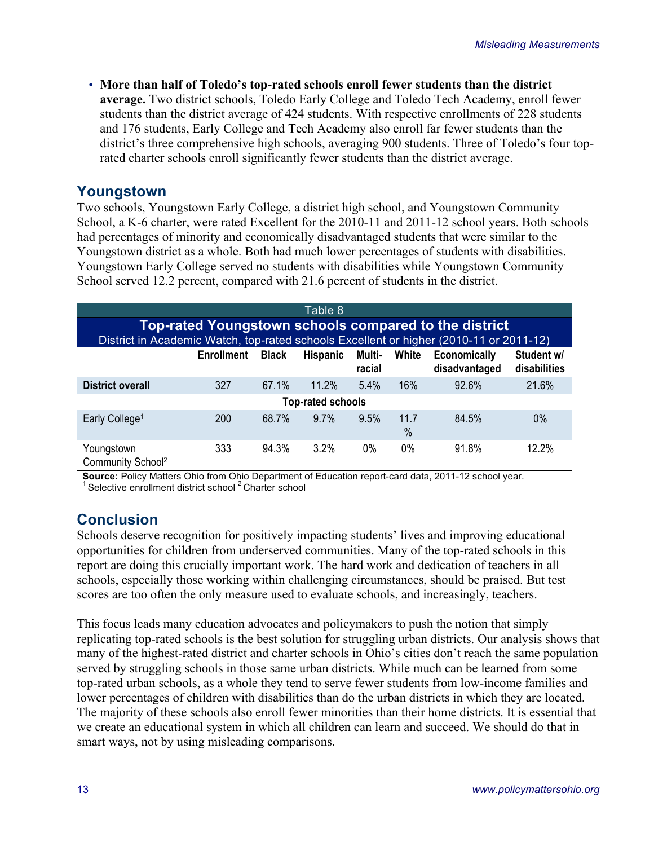• **More than half of Toledo's top-rated schools enroll fewer students than the district average.** Two district schools, Toledo Early College and Toledo Tech Academy, enroll fewer students than the district average of 424 students. With respective enrollments of 228 students and 176 students, Early College and Tech Academy also enroll far fewer students than the district's three comprehensive high schools, averaging 900 students. Three of Toledo's four toprated charter schools enroll significantly fewer students than the district average.

## **Youngstown**

Two schools, Youngstown Early College, a district high school, and Youngstown Community School, a K-6 charter, were rated Excellent for the 2010-11 and 2011-12 school years. Both schools had percentages of minority and economically disadvantaged students that were similar to the Youngstown district as a whole. Both had much lower percentages of students with disabilities. Youngstown Early College served no students with disabilities while Youngstown Community School served 12.2 percent, compared with 21.6 percent of students in the district.

| Table 8                                                                                                                                                                  |     |       |                          |      |              |       |       |  |  |  |
|--------------------------------------------------------------------------------------------------------------------------------------------------------------------------|-----|-------|--------------------------|------|--------------|-------|-------|--|--|--|
| <b>Top-rated Youngstown schools compared to the district</b><br>District in Academic Watch, top-rated schools Excellent or higher (2010-11 or 2011-12)                   |     |       |                          |      |              |       |       |  |  |  |
| White<br>Student w/<br><b>Black</b><br><b>Hispanic</b><br>Multi-<br>Economically<br><b>Enrollment</b><br>disabilities<br>disadvantaged<br>racial                         |     |       |                          |      |              |       |       |  |  |  |
| <b>District overall</b>                                                                                                                                                  | 327 | 67.1% | 11.2%                    | 5.4% | 16%          | 92.6% | 21.6% |  |  |  |
|                                                                                                                                                                          |     |       | <b>Top-rated schools</b> |      |              |       |       |  |  |  |
| Early College <sup>1</sup>                                                                                                                                               | 200 | 68.7% | $9.7\%$                  | 9.5% | 11.7<br>$\%$ | 84.5% | $0\%$ |  |  |  |
| Youngstown<br>Community School <sup>2</sup>                                                                                                                              | 333 | 94.3% | $3.2\%$                  | 0%   | $0\%$        | 91.8% | 12.2% |  |  |  |
| Source: Policy Matters Ohio from Ohio Department of Education report-card data, 2011-12 school year.<br>Selective enrollment district school <sup>2</sup> Charter school |     |       |                          |      |              |       |       |  |  |  |

# **Conclusion**

Schools deserve recognition for positively impacting students' lives and improving educational opportunities for children from underserved communities. Many of the top-rated schools in this report are doing this crucially important work. The hard work and dedication of teachers in all schools, especially those working within challenging circumstances, should be praised. But test scores are too often the only measure used to evaluate schools, and increasingly, teachers.

This focus leads many education advocates and policymakers to push the notion that simply replicating top-rated schools is the best solution for struggling urban districts. Our analysis shows that many of the highest-rated district and charter schools in Ohio's cities don't reach the same population served by struggling schools in those same urban districts. While much can be learned from some top-rated urban schools, as a whole they tend to serve fewer students from low-income families and lower percentages of children with disabilities than do the urban districts in which they are located. The majority of these schools also enroll fewer minorities than their home districts. It is essential that we create an educational system in which all children can learn and succeed. We should do that in smart ways, not by using misleading comparisons.